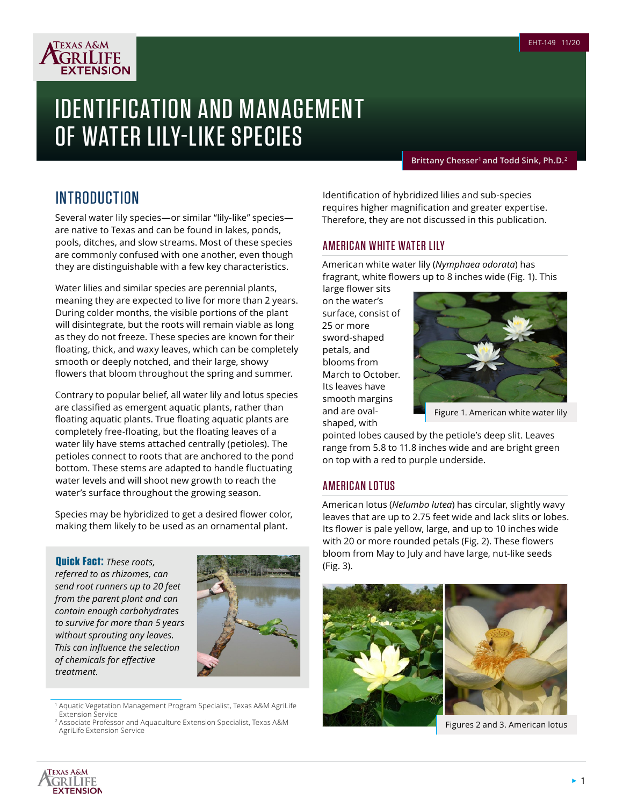

# IDENTIFICATION AND MANAGEMENT OF WATER LILY-LIKE SPECIES

**Brittany Chesser1 and Todd Sink, Ph.D.2**

# INTRODUCTION

Several water lily species—or similar "lily-like" species are native to Texas and can be found in lakes, ponds, pools, ditches, and slow streams. Most of these species are commonly confused with one another, even though they are distinguishable with a few key characteristics.

Water lilies and similar species are perennial plants, meaning they are expected to live for more than 2 years. During colder months, the visible portions of the plant will disintegrate, but the roots will remain viable as long as they do not freeze. These species are known for their floating, thick, and waxy leaves, which can be completely smooth or deeply notched, and their large, showy flowers that bloom throughout the spring and summer.

Contrary to popular belief, all water lily and lotus species are classified as emergent aquatic plants, rather than floating aquatic plants. True floating aquatic plants are completely free-floating, but the floating leaves of a water lily have stems attached centrally (petioles). The petioles connect to roots that are anchored to the pond bottom. These stems are adapted to handle fluctuating water levels and will shoot new growth to reach the water's surface throughout the growing season.

Species may be hybridized to get a desired flower color, making them likely to be used as an ornamental plant.

(Fig. 3). **Quick Fact:** *These roots, referred to as rhizomes, can send root runners up to 20 feet from the parent plant and can contain enough carbohydrates to survive for more than 5 years without sprouting any leaves. This can influence the selection of chemicals for effective treatment.*



<sup>1</sup> Aquatic Vegetation Management Program Specialist, Texas A&M AgriLife Extension Service

Identification of hybridized lilies and sub-species requires higher magnification and greater expertise. Therefore, they are not discussed in this publication.

## AMERICAN WHITE WATER LILY

American white water lily (*Nymphaea odorata*) has fragrant, white flowers up to 8 inches wide (Fig. 1). This

large flower sits on the water's surface, consist of 25 or more sword-shaped petals, and blooms from March to October. Its leaves have smooth margins and are ovalshaped, with



Figure 1. American white water lily

pointed lobes caused by the petiole's deep slit. Leaves range from 5.8 to 11.8 inches wide and are bright green on top with a red to purple underside.

# AMERICAN LOTUS

American lotus (*Nelumbo lutea*) has circular, slightly wavy leaves that are up to 2.75 feet wide and lack slits or lobes. Its flower is pale yellow, large, and up to 10 inches wide with 20 or more rounded petals (Fig. 2). These flowers bloom from May to July and have large, nut-like seeds





Figures 2 and 3. American lotus



<sup>2</sup> Associate Professor and Aquaculture Extension Specialist, Texas A&M AgriLife Extension Service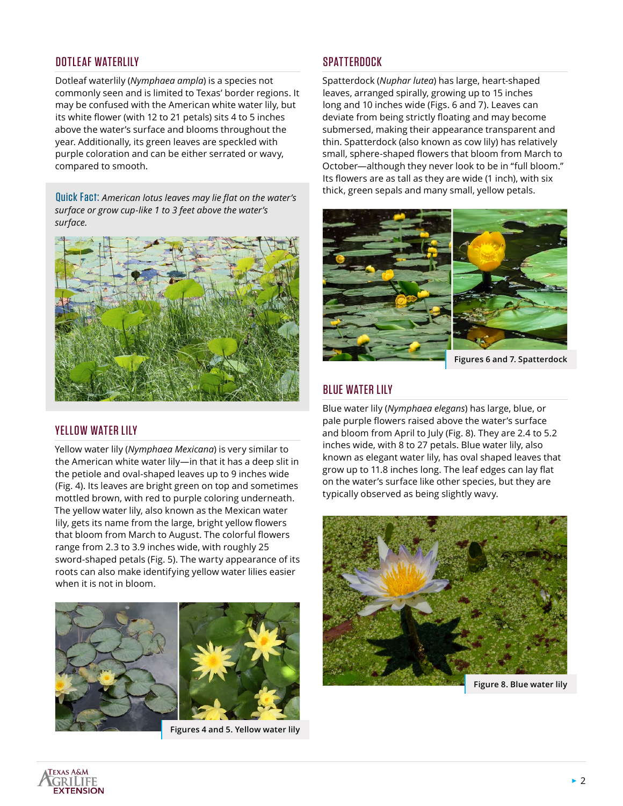# DOTLEAF WATERLILY

Dotleaf waterlily (*Nymphaea ampla*) is a species not commonly seen and is limited to Texas' border regions. It may be confused with the American white water lily, but its white flower (with 12 to 21 petals) sits 4 to 5 inches above the water's surface and blooms throughout the year. Additionally, its green leaves are speckled with purple coloration and can be either serrated or wavy, compared to smooth.

Quick Fact: *American lotus leaves may lie flat on the water's surface or grow cup-like 1 to 3 feet above the water's surface.* 



#### YELLOW WATER LILY

Yellow water lily (*Nymphaea Mexicana*) is very similar to the American white water lily—in that it has a deep slit in the petiole and oval-shaped leaves up to 9 inches wide (Fig. 4). Its leaves are bright green on top and sometimes mottled brown, with red to purple coloring underneath. The yellow water lily, also known as the Mexican water lily, gets its name from the large, bright yellow flowers that bloom from March to August. The colorful flowers range from 2.3 to 3.9 inches wide, with roughly 25 sword-shaped petals (Fig. 5). The warty appearance of its roots can also make identifying yellow water lilies easier when it is not in bloom.





**Figures 4 and 5. Yellow water lily**

#### SPATTERDOCK

Spatterdock (*Nuphar lutea*) has large, heart-shaped leaves, arranged spirally, growing up to 15 inches long and 10 inches wide (Figs. 6 and 7). Leaves can deviate from being strictly floating and may become submersed, making their appearance transparent and thin. Spatterdock (also known as cow lily) has relatively small, sphere-shaped flowers that bloom from March to October—although they never look to be in "full bloom." Its flowers are as tall as they are wide (1 inch), with six thick, green sepals and many small, yellow petals.



**Figures 6 and 7. Spatterdock**

# BLUE WATER LILY

Blue water lily (*Nymphaea elegans*) has large, blue, or pale purple flowers raised above the water's surface and bloom from April to July (Fig. 8). They are 2.4 to 5.2 inches wide, with 8 to 27 petals. Blue water lily, also known as elegant water lily, has oval shaped leaves that grow up to 11.8 inches long. The leaf edges can lay flat on the water's surface like other species, but they are typically observed as being slightly wavy.

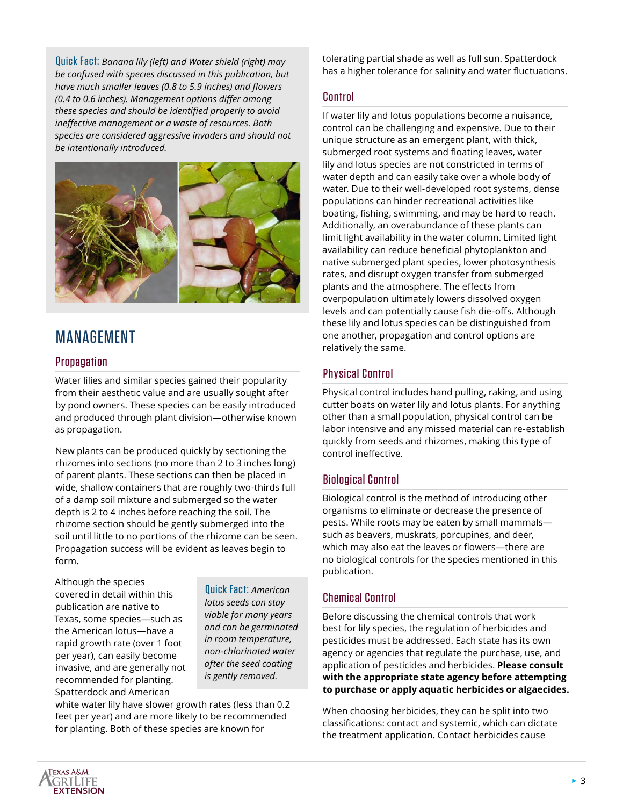Quick Fact: *Banana lily (left) and Water shield (right) may be confused with species discussed in this publication, but have much smaller leaves (0.8 to 5.9 inches) and flowers (0.4 to 0.6 inches). Management options differ among these species and should be identified properly to avoid ineffective management or a waste of resources. Both species are considered aggressive invaders and should not be intentionally introduced.*



# MANAGEMENT

#### **Propagation**

Water lilies and similar species gained their popularity from their aesthetic value and are usually sought after by pond owners. These species can be easily introduced and produced through plant division—otherwise known as propagation.

New plants can be produced quickly by sectioning the rhizomes into sections (no more than 2 to 3 inches long) of parent plants. These sections can then be placed in wide, shallow containers that are roughly two-thirds full of a damp soil mixture and submerged so the water depth is 2 to 4 inches before reaching the soil. The rhizome section should be gently submerged into the soil until little to no portions of the rhizome can be seen. Propagation success will be evident as leaves begin to form.

Although the species covered in detail within this publication are native to Texas, some species—such as the American lotus—have a rapid growth rate (over 1 foot per year), can easily become invasive, and are generally not recommended for planting. Spatterdock and American

Quick Fact: *American lotus seeds can stay viable for many years and can be germinated in room temperature, non-chlorinated water after the seed coating is gently removed.*

white water lily have slower growth rates (less than 0.2 feet per year) and are more likely to be recommended for planting. Both of these species are known for

tolerating partial shade as well as full sun. Spatterdock has a higher tolerance for salinity and water fluctuations.

#### Control

If water lily and lotus populations become a nuisance, control can be challenging and expensive. Due to their unique structure as an emergent plant, with thick, submerged root systems and floating leaves, water lily and lotus species are not constricted in terms of water depth and can easily take over a whole body of water. Due to their well-developed root systems, dense populations can hinder recreational activities like boating, fishing, swimming, and may be hard to reach. Additionally, an overabundance of these plants can limit light availability in the water column. Limited light availability can reduce beneficial phytoplankton and native submerged plant species, lower photosynthesis rates, and disrupt oxygen transfer from submerged plants and the atmosphere. The effects from overpopulation ultimately lowers dissolved oxygen levels and can potentially cause fish die-offs. Although these lily and lotus species can be distinguished from one another, propagation and control options are relatively the same.

# Physical Control

Physical control includes hand pulling, raking, and using cutter boats on water lily and lotus plants. For anything other than a small population, physical control can be labor intensive and any missed material can re-establish quickly from seeds and rhizomes, making this type of control ineffective.

## Biological Control

Biological control is the method of introducing other organisms to eliminate or decrease the presence of pests. While roots may be eaten by small mammals such as beavers, muskrats, porcupines, and deer, which may also eat the leaves or flowers—there are no biological controls for the species mentioned in this publication.

## Chemical Control

Before discussing the chemical controls that work best for lily species, the regulation of herbicides and pesticides must be addressed. Each state has its own agency or agencies that regulate the purchase, use, and application of pesticides and herbicides. **Please consult with the appropriate state agency before attempting to purchase or apply aquatic herbicides or algaecides.**

When choosing herbicides, they can be split into two classifications: contact and systemic, which can dictate the treatment application. Contact herbicides cause